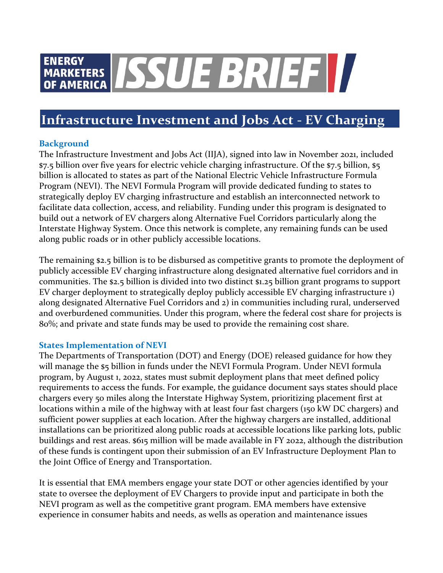# ENERGY<br>OF AMERICA SSUE BRIEF **ENERGY**

## **Infrastructure Investment and Jobs Act - EV Charging**

### **Background**

The Infrastructure Investment and Jobs Act (IIJA), signed into law in November 2021, included \$7.5 billion over five years for electric vehicle charging infrastructure. Of the \$7.5 billion, \$5 billion is allocated to states as part of the National Electric Vehicle Infrastructure Formula Program (NEVI). The NEVI Formula Program will provide dedicated funding to states to strategically deploy EV charging infrastructure and establish an interconnected network to facilitate data collection, access, and reliability. Funding under this program is designated to build out a network of EV chargers along Alternative Fuel Corridors particularly along the Interstate Highway System. Once this network is complete, any remaining funds can be used along public roads or in other publicly accessible locations.

The remaining \$2.5 billion is to be disbursed as competitive grants to promote the deployment of publicly accessible EV charging infrastructure along designated alternative fuel corridors and in communities. The \$2.5 billion is divided into two distinct \$1.25 billion grant programs to support EV charger deployment to strategically deploy publicly accessible EV charging infrastructure 1) along designated Alternative Fuel Corridors and 2) in communities including rural, underserved and overburdened communities. Under this program, where the federal cost share for projects is 80%; and private and state funds may be used to provide the remaining cost share.

#### **States Implementation of NEVI**

The Departments of Transportation (DOT) and Energy (DOE) released guidance for how they will manage the \$5 billion in funds under the NEVI Formula Program. Under NEVI formula program, by August 1, 2022, states must submit deployment plans that meet defined policy requirements to access the funds. For example, the guidance document says states should place chargers every 50 miles along the Interstate Highway System, prioritizing placement first at locations within a mile of the highway with at least four fast chargers (150 kW DC chargers) and sufficient power supplies at each location. After the highway chargers are installed, additional installations can be prioritized along public roads at accessible locations like parking lots, public buildings and rest areas. \$615 million will be made available in FY 2022, although the distribution of these funds is contingent upon their submission of an EV Infrastructure Deployment Plan to the Joint Office of Energy and Transportation.

It is essential that EMA members engage your state DOT or other agencies identified by your state to oversee the deployment of EV Chargers to provide input and participate in both the NEVI program as well as the competitive grant program. EMA members have extensive experience in consumer habits and needs, as wells as operation and maintenance issues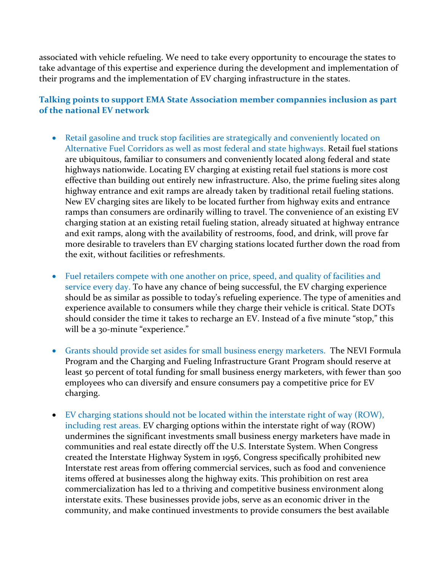associated with vehicle refueling. We need to take every opportunity to encourage the states to take advantage of this expertise and experience during the development and implementation of their programs and the implementation of EV charging infrastructure in the states.

#### **Talking points to support EMA State Association member compannies inclusion as part of the national EV network**

- Retail gasoline and truck stop facilities are strategically and conveniently located on Alternative Fuel Corridors as well as most federal and state highways. Retail fuel stations are ubiquitous, familiar to consumers and conveniently located along federal and state highways nationwide. Locating EV charging at existing retail fuel stations is more cost effective than building out entirely new infrastructure. Also, the prime fueling sites along highway entrance and exit ramps are already taken by traditional retail fueling stations. New EV charging sites are likely to be located further from highway exits and entrance ramps than consumers are ordinarily willing to travel. The convenience of an existing EV charging station at an existing retail fueling station, already situated at highway entrance and exit ramps, along with the availability of restrooms, food, and drink, will prove far more desirable to travelers than EV charging stations located further down the road from the exit, without facilities or refreshments.
- Fuel retailers compete with one another on price, speed, and quality of facilities and service every day. To have any chance of being successful, the EV charging experience should be as similar as possible to today's refueling experience. The type of amenities and experience available to consumers while they charge their vehicle is critical. State DOTs should consider the time it takes to recharge an EV. Instead of a five minute "stop," this will be a 30-minute "experience."
- Grants should provide set asides for small business energy marketers. The NEVI Formula Program and the Charging and Fueling Infrastructure Grant Program should reserve at least 50 percent of total funding for small business energy marketers, with fewer than 500 employees who can diversify and ensure consumers pay a competitive price for EV charging.
- EV charging stations should not be located within the interstate right of way (ROW), including rest areas. EV charging options within the interstate right of way (ROW) undermines the significant investments small business energy marketers have made in communities and real estate directly off the U.S. Interstate System. When Congress created the Interstate Highway System in 1956, Congress specifically prohibited new Interstate rest areas from offering commercial services, such as food and convenience items offered at businesses along the highway exits. This prohibition on rest area commercialization has led to a thriving and competitive business environment along interstate exits. These businesses provide jobs, serve as an economic driver in the community, and make continued investments to provide consumers the best available